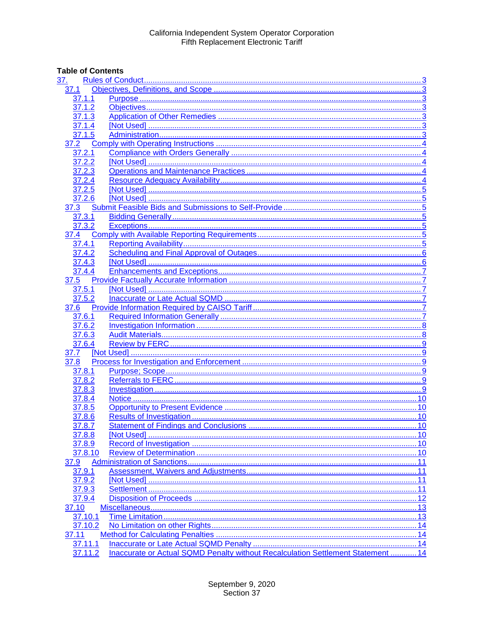# **Table of Contents**

| <u>37.</u>       |                                                                                  |    |
|------------------|----------------------------------------------------------------------------------|----|
| 37.1             |                                                                                  |    |
| 37.1.1           |                                                                                  |    |
| 37.1.2           |                                                                                  |    |
| 37.1.3           |                                                                                  |    |
| 37.1.4           |                                                                                  |    |
| 37.1.5           |                                                                                  |    |
| 37.2             |                                                                                  |    |
| 37.2.1           |                                                                                  |    |
| 37.2.2           |                                                                                  |    |
| 37.2.3           |                                                                                  |    |
| 37.2.4           |                                                                                  |    |
| 37.2.5           |                                                                                  |    |
| 37.2.6           |                                                                                  |    |
| 37.3             |                                                                                  |    |
| 37.3.1           |                                                                                  |    |
| 37.3.2           |                                                                                  |    |
| 37.4             |                                                                                  |    |
| 37.4.1           |                                                                                  |    |
| 37.4.2           |                                                                                  |    |
| 37.4.3           |                                                                                  |    |
| 37.4.4           |                                                                                  |    |
| 37.5             |                                                                                  |    |
| 37.5.1           |                                                                                  |    |
| 37.5.2           |                                                                                  |    |
| 37.6             |                                                                                  |    |
| 37.6.1           |                                                                                  |    |
| 37.6.2           |                                                                                  |    |
| 37.6.3           |                                                                                  |    |
| 37.6.4           |                                                                                  |    |
| 37.7             |                                                                                  |    |
| 37.8             |                                                                                  |    |
| 37.8.1           |                                                                                  |    |
| 37.8.2           |                                                                                  |    |
| 37.8.3           |                                                                                  |    |
| 37.8.4           |                                                                                  |    |
| 37.8.5           |                                                                                  |    |
| 37.8.6           |                                                                                  |    |
| 37.8.7           |                                                                                  |    |
|                  |                                                                                  |    |
| 37.8.8<br>37.8.9 |                                                                                  |    |
|                  |                                                                                  |    |
| 37.8.10          |                                                                                  |    |
| 37.9<br>37.9.1   |                                                                                  |    |
|                  |                                                                                  |    |
| 37.9.2           |                                                                                  | 11 |
| 37.9.3           |                                                                                  |    |
| 37.9.4           |                                                                                  |    |
| 37.10            |                                                                                  |    |
| 37.10.1          |                                                                                  |    |
| 37.10.2          |                                                                                  |    |
| 37.11            |                                                                                  |    |
| 37.11.1          |                                                                                  |    |
| 37.11.2          | Inaccurate or Actual SQMD Penalty without Recalculation Settlement Statement  14 |    |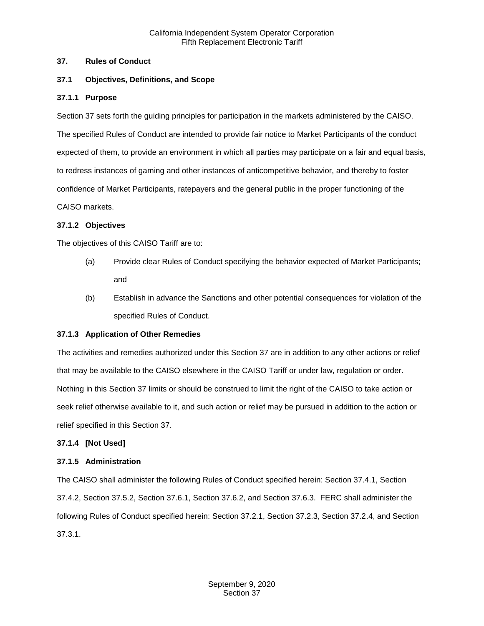#### <span id="page-2-0"></span>**37. Rules of Conduct**

## <span id="page-2-1"></span>**37.1 Objectives, Definitions, and Scope**

#### <span id="page-2-2"></span>**37.1.1 Purpose**

Section 37 sets forth the guiding principles for participation in the markets administered by the CAISO. The specified Rules of Conduct are intended to provide fair notice to Market Participants of the conduct expected of them, to provide an environment in which all parties may participate on a fair and equal basis, to redress instances of gaming and other instances of anticompetitive behavior, and thereby to foster confidence of Market Participants, ratepayers and the general public in the proper functioning of the CAISO markets.

#### <span id="page-2-3"></span>**37.1.2 Objectives**

The objectives of this CAISO Tariff are to:

- (a) Provide clear Rules of Conduct specifying the behavior expected of Market Participants; and
- (b) Establish in advance the Sanctions and other potential consequences for violation of the specified Rules of Conduct.

#### <span id="page-2-4"></span>**37.1.3 Application of Other Remedies**

The activities and remedies authorized under this Section 37 are in addition to any other actions or relief that may be available to the CAISO elsewhere in the CAISO Tariff or under law, regulation or order. Nothing in this Section 37 limits or should be construed to limit the right of the CAISO to take action or seek relief otherwise available to it, and such action or relief may be pursued in addition to the action or relief specified in this Section 37.

#### <span id="page-2-5"></span>**37.1.4 [Not Used]**

#### <span id="page-2-6"></span>**37.1.5 Administration**

The CAISO shall administer the following Rules of Conduct specified herein: Section 37.4.1, Section 37.4.2, Section 37.5.2, Section 37.6.1, Section 37.6.2, and Section 37.6.3. FERC shall administer the following Rules of Conduct specified herein: Section 37.2.1, Section 37.2.3, Section 37.2.4, and Section 37.3.1.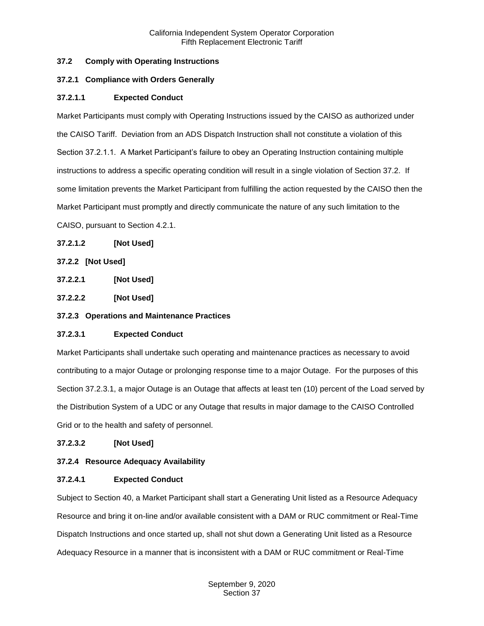## <span id="page-3-0"></span>**37.2 Comply with Operating Instructions**

## <span id="page-3-1"></span>**37.2.1 Compliance with Orders Generally**

# **37.2.1.1 Expected Conduct**

Market Participants must comply with Operating Instructions issued by the CAISO as authorized under the CAISO Tariff. Deviation from an ADS Dispatch Instruction shall not constitute a violation of this Section 37.2.1.1. A Market Participant's failure to obey an Operating Instruction containing multiple instructions to address a specific operating condition will result in a single violation of Section 37.2. If some limitation prevents the Market Participant from fulfilling the action requested by the CAISO then the Market Participant must promptly and directly communicate the nature of any such limitation to the CAISO, pursuant to Section 4.2.1.

# **37.2.1.2 [Not Used]**

# <span id="page-3-2"></span>**37.2.2 [Not Used]**

**37.2.2.1 [Not Used]**

**37.2.2.2 [Not Used]**

# <span id="page-3-3"></span>**37.2.3 Operations and Maintenance Practices**

## **37.2.3.1 Expected Conduct**

Market Participants shall undertake such operating and maintenance practices as necessary to avoid contributing to a major Outage or prolonging response time to a major Outage. For the purposes of this Section 37.2.3.1, a major Outage is an Outage that affects at least ten (10) percent of the Load served by the Distribution System of a UDC or any Outage that results in major damage to the CAISO Controlled Grid or to the health and safety of personnel.

## **37.2.3.2 [Not Used]**

## <span id="page-3-4"></span>**37.2.4 Resource Adequacy Availability**

## **37.2.4.1 Expected Conduct**

Subject to Section 40, a Market Participant shall start a Generating Unit listed as a Resource Adequacy Resource and bring it on-line and/or available consistent with a DAM or RUC commitment or Real-Time Dispatch Instructions and once started up, shall not shut down a Generating Unit listed as a Resource Adequacy Resource in a manner that is inconsistent with a DAM or RUC commitment or Real-Time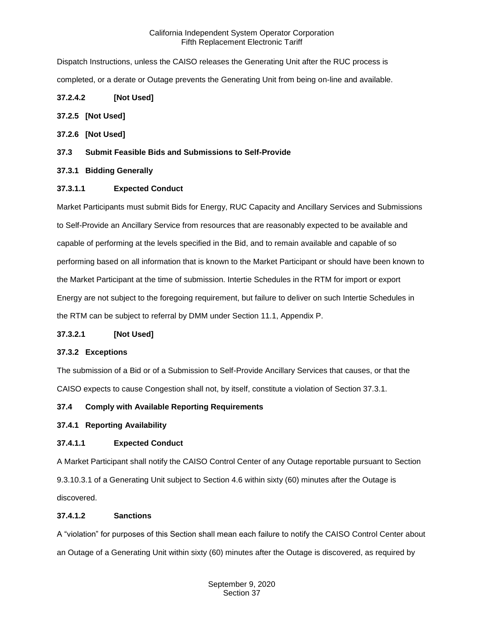Dispatch Instructions, unless the CAISO releases the Generating Unit after the RUC process is completed, or a derate or Outage prevents the Generating Unit from being on-line and available.

# **37.2.4.2 [Not Used]**

## <span id="page-4-0"></span>**37.2.5 [Not Used]**

- <span id="page-4-1"></span>**37.2.6 [Not Used]**
- <span id="page-4-2"></span>**37.3 Submit Feasible Bids and Submissions to Self-Provide**

# <span id="page-4-3"></span>**37.3.1 Bidding Generally**

# **37.3.1.1 Expected Conduct**

Market Participants must submit Bids for Energy, RUC Capacity and Ancillary Services and Submissions to Self-Provide an Ancillary Service from resources that are reasonably expected to be available and capable of performing at the levels specified in the Bid, and to remain available and capable of so performing based on all information that is known to the Market Participant or should have been known to the Market Participant at the time of submission. Intertie Schedules in the RTM for import or export Energy are not subject to the foregoing requirement, but failure to deliver on such Intertie Schedules in the RTM can be subject to referral by DMM under Section 11.1, Appendix P.

## **37.3.2.1 [Not Used]**

## <span id="page-4-4"></span>**37.3.2 Exceptions**

The submission of a Bid or of a Submission to Self-Provide Ancillary Services that causes, or that the CAISO expects to cause Congestion shall not, by itself, constitute a violation of Section 37.3.1.

# <span id="page-4-5"></span>**37.4 Comply with Available Reporting Requirements**

## <span id="page-4-6"></span>**37.4.1 Reporting Availability**

# **37.4.1.1 Expected Conduct**

A Market Participant shall notify the CAISO Control Center of any Outage reportable pursuant to Section 9.3.10.3.1 of a Generating Unit subject to Section 4.6 within sixty (60) minutes after the Outage is discovered.

## **37.4.1.2 Sanctions**

A "violation" for purposes of this Section shall mean each failure to notify the CAISO Control Center about an Outage of a Generating Unit within sixty (60) minutes after the Outage is discovered, as required by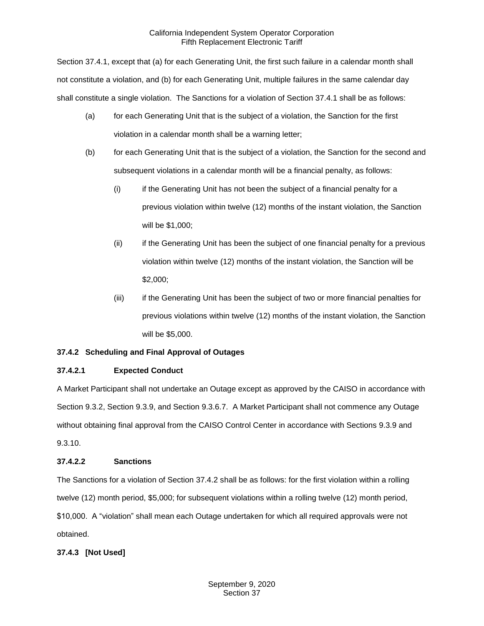Section 37.4.1, except that (a) for each Generating Unit, the first such failure in a calendar month shall not constitute a violation, and (b) for each Generating Unit, multiple failures in the same calendar day shall constitute a single violation. The Sanctions for a violation of Section 37.4.1 shall be as follows:

- (a) for each Generating Unit that is the subject of a violation, the Sanction for the first violation in a calendar month shall be a warning letter;
- (b) for each Generating Unit that is the subject of a violation, the Sanction for the second and subsequent violations in a calendar month will be a financial penalty, as follows:
	- (i) if the Generating Unit has not been the subject of a financial penalty for a previous violation within twelve (12) months of the instant violation, the Sanction will be \$1,000;
	- (ii) if the Generating Unit has been the subject of one financial penalty for a previous violation within twelve (12) months of the instant violation, the Sanction will be \$2,000;
	- (iii) if the Generating Unit has been the subject of two or more financial penalties for previous violations within twelve (12) months of the instant violation, the Sanction will be \$5,000.

# <span id="page-5-0"></span>**37.4.2 Scheduling and Final Approval of Outages**

# **37.4.2.1 Expected Conduct**

A Market Participant shall not undertake an Outage except as approved by the CAISO in accordance with Section 9.3.2, Section 9.3.9, and Section 9.3.6.7. A Market Participant shall not commence any Outage without obtaining final approval from the CAISO Control Center in accordance with Sections 9.3.9 and 9.3.10.

## **37.4.2.2 Sanctions**

The Sanctions for a violation of Section 37.4.2 shall be as follows: for the first violation within a rolling twelve (12) month period, \$5,000; for subsequent violations within a rolling twelve (12) month period, \$10,000. A "violation" shall mean each Outage undertaken for which all required approvals were not obtained.

# <span id="page-5-1"></span>**37.4.3 [Not Used]**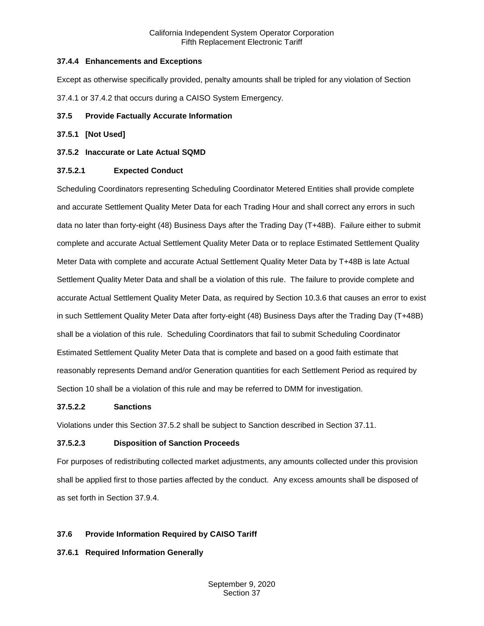# <span id="page-6-0"></span>**37.4.4 Enhancements and Exceptions**

Except as otherwise specifically provided, penalty amounts shall be tripled for any violation of Section 37.4.1 or 37.4.2 that occurs during a CAISO System Emergency.

# <span id="page-6-1"></span>**37.5 Provide Factually Accurate Information**

# <span id="page-6-2"></span>**37.5.1 [Not Used]**

# <span id="page-6-3"></span>**37.5.2 Inaccurate or Late Actual SQMD**

# **37.5.2.1 Expected Conduct**

Scheduling Coordinators representing Scheduling Coordinator Metered Entities shall provide complete and accurate Settlement Quality Meter Data for each Trading Hour and shall correct any errors in such data no later than forty-eight (48) Business Days after the Trading Day (T+48B). Failure either to submit complete and accurate Actual Settlement Quality Meter Data or to replace Estimated Settlement Quality Meter Data with complete and accurate Actual Settlement Quality Meter Data by T+48B is late Actual Settlement Quality Meter Data and shall be a violation of this rule. The failure to provide complete and accurate Actual Settlement Quality Meter Data, as required by Section 10.3.6 that causes an error to exist in such Settlement Quality Meter Data after forty-eight (48) Business Days after the Trading Day (T+48B) shall be a violation of this rule. Scheduling Coordinators that fail to submit Scheduling Coordinator Estimated Settlement Quality Meter Data that is complete and based on a good faith estimate that reasonably represents Demand and/or Generation quantities for each Settlement Period as required by Section 10 shall be a violation of this rule and may be referred to DMM for investigation.

## **37.5.2.2 Sanctions**

Violations under this Section 37.5.2 shall be subject to Sanction described in Section 37.11.

## **37.5.2.3 Disposition of Sanction Proceeds**

For purposes of redistributing collected market adjustments, any amounts collected under this provision shall be applied first to those parties affected by the conduct. Any excess amounts shall be disposed of as set forth in Section 37.9.4.

# <span id="page-6-4"></span>**37.6 Provide Information Required by CAISO Tariff**

# <span id="page-6-5"></span>**37.6.1 Required Information Generally**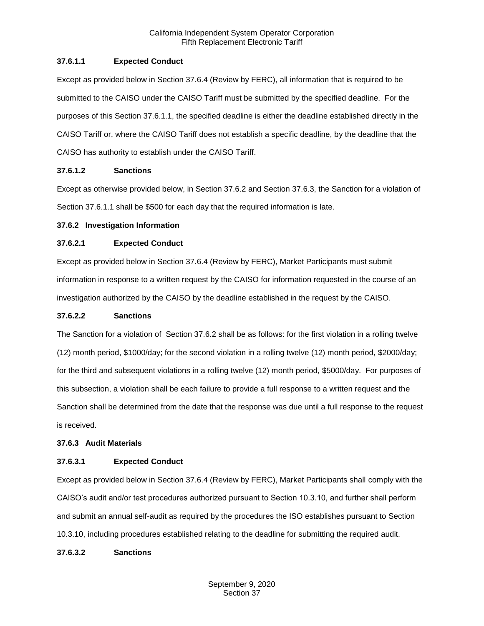## **37.6.1.1 Expected Conduct**

Except as provided below in Section 37.6.4 (Review by FERC), all information that is required to be submitted to the CAISO under the CAISO Tariff must be submitted by the specified deadline. For the purposes of this Section 37.6.1.1, the specified deadline is either the deadline established directly in the CAISO Tariff or, where the CAISO Tariff does not establish a specific deadline, by the deadline that the CAISO has authority to establish under the CAISO Tariff.

## **37.6.1.2 Sanctions**

Except as otherwise provided below, in Section 37.6.2 and Section 37.6.3, the Sanction for a violation of Section 37.6.1.1 shall be \$500 for each day that the required information is late.

#### <span id="page-7-0"></span>**37.6.2 Investigation Information**

#### **37.6.2.1 Expected Conduct**

Except as provided below in Section 37.6.4 (Review by FERC), Market Participants must submit information in response to a written request by the CAISO for information requested in the course of an investigation authorized by the CAISO by the deadline established in the request by the CAISO.

#### **37.6.2.2 Sanctions**

The Sanction for a violation of Section 37.6.2 shall be as follows: for the first violation in a rolling twelve (12) month period, \$1000/day; for the second violation in a rolling twelve (12) month period, \$2000/day; for the third and subsequent violations in a rolling twelve (12) month period, \$5000/day. For purposes of this subsection, a violation shall be each failure to provide a full response to a written request and the Sanction shall be determined from the date that the response was due until a full response to the request is received.

## <span id="page-7-1"></span>**37.6.3 Audit Materials**

## **37.6.3.1 Expected Conduct**

Except as provided below in Section 37.6.4 (Review by FERC), Market Participants shall comply with the CAISO's audit and/or test procedures authorized pursuant to Section 10.3.10, and further shall perform and submit an annual self-audit as required by the procedures the ISO establishes pursuant to Section 10.3.10, including procedures established relating to the deadline for submitting the required audit.

#### **37.6.3.2 Sanctions**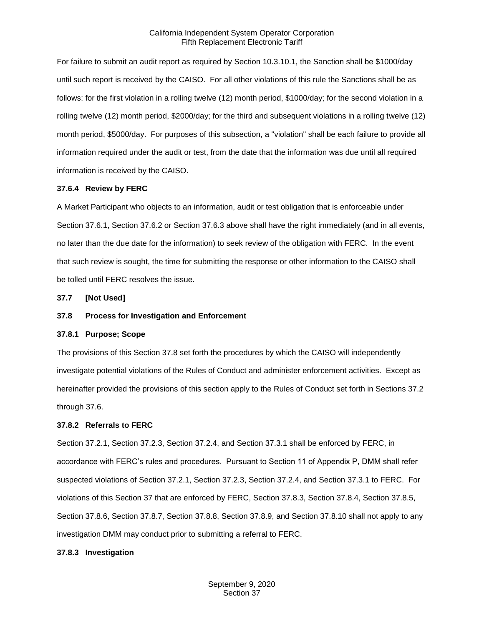For failure to submit an audit report as required by Section 10.3.10.1, the Sanction shall be \$1000/day until such report is received by the CAISO. For all other violations of this rule the Sanctions shall be as follows: for the first violation in a rolling twelve (12) month period, \$1000/day; for the second violation in a rolling twelve (12) month period, \$2000/day; for the third and subsequent violations in a rolling twelve (12) month period, \$5000/day. For purposes of this subsection, a "violation" shall be each failure to provide all information required under the audit or test, from the date that the information was due until all required information is received by the CAISO.

#### <span id="page-8-0"></span>**37.6.4 Review by FERC**

A Market Participant who objects to an information, audit or test obligation that is enforceable under Section 37.6.1, Section 37.6.2 or Section 37.6.3 above shall have the right immediately (and in all events, no later than the due date for the information) to seek review of the obligation with FERC. In the event that such review is sought, the time for submitting the response or other information to the CAISO shall be tolled until FERC resolves the issue.

<span id="page-8-1"></span>**37.7 [Not Used]**

#### <span id="page-8-2"></span>**37.8 Process for Investigation and Enforcement**

#### <span id="page-8-3"></span>**37.8.1 Purpose; Scope**

The provisions of this Section 37.8 set forth the procedures by which the CAISO will independently investigate potential violations of the Rules of Conduct and administer enforcement activities. Except as hereinafter provided the provisions of this section apply to the Rules of Conduct set forth in Sections 37.2 through 37.6.

#### <span id="page-8-4"></span>**37.8.2 Referrals to FERC**

Section 37.2.1, Section 37.2.3, Section 37.2.4, and Section 37.3.1 shall be enforced by FERC, in accordance with FERC's rules and procedures. Pursuant to Section 11 of Appendix P, DMM shall refer suspected violations of Section 37.2.1, Section 37.2.3, Section 37.2.4, and Section 37.3.1 to FERC. For violations of this Section 37 that are enforced by FERC, Section 37.8.3, Section 37.8.4, Section 37.8.5, Section 37.8.6, Section 37.8.7, Section 37.8.8, Section 37.8.9, and Section 37.8.10 shall not apply to any investigation DMM may conduct prior to submitting a referral to FERC.

#### <span id="page-8-5"></span>**37.8.3 Investigation**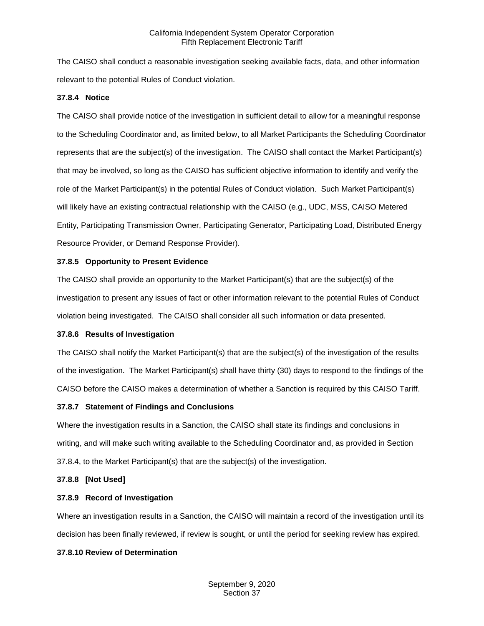The CAISO shall conduct a reasonable investigation seeking available facts, data, and other information relevant to the potential Rules of Conduct violation.

#### <span id="page-9-0"></span>**37.8.4 Notice**

The CAISO shall provide notice of the investigation in sufficient detail to allow for a meaningful response to the Scheduling Coordinator and, as limited below, to all Market Participants the Scheduling Coordinator represents that are the subject(s) of the investigation. The CAISO shall contact the Market Participant(s) that may be involved, so long as the CAISO has sufficient objective information to identify and verify the role of the Market Participant(s) in the potential Rules of Conduct violation. Such Market Participant(s) will likely have an existing contractual relationship with the CAISO (e.g., UDC, MSS, CAISO Metered Entity, Participating Transmission Owner, Participating Generator, Participating Load, Distributed Energy Resource Provider, or Demand Response Provider).

#### <span id="page-9-1"></span>**37.8.5 Opportunity to Present Evidence**

The CAISO shall provide an opportunity to the Market Participant(s) that are the subject(s) of the investigation to present any issues of fact or other information relevant to the potential Rules of Conduct violation being investigated. The CAISO shall consider all such information or data presented.

## <span id="page-9-2"></span>**37.8.6 Results of Investigation**

The CAISO shall notify the Market Participant(s) that are the subject(s) of the investigation of the results of the investigation. The Market Participant(s) shall have thirty (30) days to respond to the findings of the CAISO before the CAISO makes a determination of whether a Sanction is required by this CAISO Tariff.

## <span id="page-9-3"></span>**37.8.7 Statement of Findings and Conclusions**

Where the investigation results in a Sanction, the CAISO shall state its findings and conclusions in writing, and will make such writing available to the Scheduling Coordinator and, as provided in Section 37.8.4, to the Market Participant(s) that are the subject(s) of the investigation.

#### <span id="page-9-4"></span>**37.8.8 [Not Used]**

## <span id="page-9-5"></span>**37.8.9 Record of Investigation**

Where an investigation results in a Sanction, the CAISO will maintain a record of the investigation until its decision has been finally reviewed, if review is sought, or until the period for seeking review has expired.

## <span id="page-9-6"></span>**37.8.10 Review of Determination**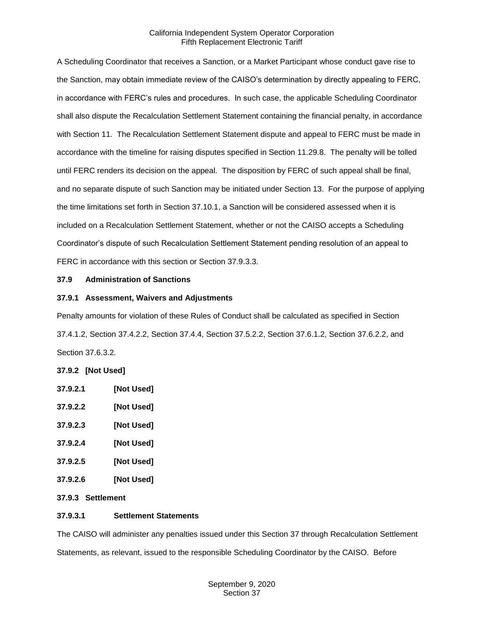A Scheduling Coordinator that receives a Sanction, or a Market Participant whose conduct gave rise to the Sanction, may obtain immediate review of the CAISO's determination by directly appealing to FERC, in accordance with FERC's rules and procedures. In such case, the applicable Scheduling Coordinator shall also dispute the Recalculation Settlement Statement containing the financial penalty, in accordance with Section 11. The Recalculation Settlement Statement dispute and appeal to FERC must be made in accordance with the timeline for raising disputes specified in Section 11.29.8. The penalty will be tolled until FERC renders its decision on the appeal. The disposition by FERC of such appeal shall be final, and no separate dispute of such Sanction may be initiated under Section 13. For the purpose of applying the time limitations set forth in Section 37.10.1, a Sanction will be considered assessed when it is included on a Recalculation Settlement Statement, whether or not the CAISO accepts a Scheduling Coordinator's dispute of such Recalculation Settlement Statement pending resolution of an appeal to FERC in accordance with this section or Section 37.9.3.3.

#### <span id="page-10-0"></span>**37.9 Administration of Sanctions**

#### <span id="page-10-1"></span>**37.9.1 Assessment, Waivers and Adjustments**

Penalty amounts for violation of these Rules of Conduct shall be calculated as specified in Section 37.4.1.2, Section 37.4.2.2, Section 37.4.4, Section 37.5.2.2, Section 37.6.1.2, Section 37.6.2.2, and Section 37.6.3.2.

## <span id="page-10-2"></span>**37.9.2 [Not Used]**

| <b>INot Used1</b> |
|-------------------|
| [Not Used]        |
| [Not Used]        |
|                   |

- **37.9.2.4 [Not Used]**
- **37.9.2.5 [Not Used]**
- **37.9.2.6 [Not Used]**

# <span id="page-10-3"></span>**37.9.3 Settlement**

## **37.9.3.1 Settlement Statements**

The CAISO will administer any penalties issued under this Section 37 through Recalculation Settlement Statements, as relevant, issued to the responsible Scheduling Coordinator by the CAISO. Before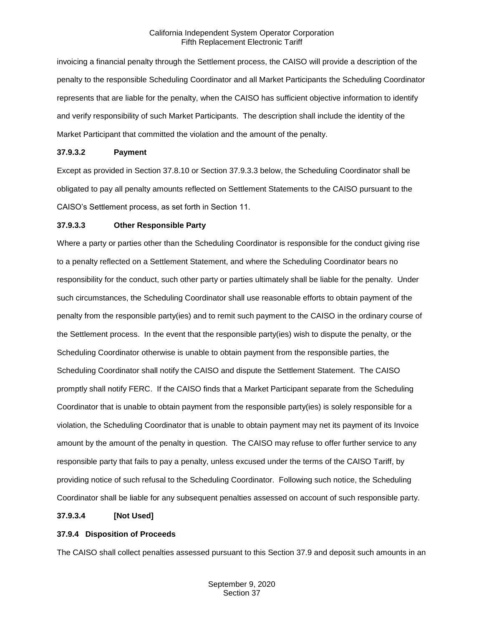invoicing a financial penalty through the Settlement process, the CAISO will provide a description of the penalty to the responsible Scheduling Coordinator and all Market Participants the Scheduling Coordinator represents that are liable for the penalty, when the CAISO has sufficient objective information to identify and verify responsibility of such Market Participants. The description shall include the identity of the Market Participant that committed the violation and the amount of the penalty.

#### **37.9.3.2 Payment**

Except as provided in Section 37.8.10 or Section 37.9.3.3 below, the Scheduling Coordinator shall be obligated to pay all penalty amounts reflected on Settlement Statements to the CAISO pursuant to the CAISO's Settlement process, as set forth in Section 11.

#### **37.9.3.3 Other Responsible Party**

Where a party or parties other than the Scheduling Coordinator is responsible for the conduct giving rise to a penalty reflected on a Settlement Statement, and where the Scheduling Coordinator bears no responsibility for the conduct, such other party or parties ultimately shall be liable for the penalty. Under such circumstances, the Scheduling Coordinator shall use reasonable efforts to obtain payment of the penalty from the responsible party(ies) and to remit such payment to the CAISO in the ordinary course of the Settlement process. In the event that the responsible party(ies) wish to dispute the penalty, or the Scheduling Coordinator otherwise is unable to obtain payment from the responsible parties, the Scheduling Coordinator shall notify the CAISO and dispute the Settlement Statement. The CAISO promptly shall notify FERC. If the CAISO finds that a Market Participant separate from the Scheduling Coordinator that is unable to obtain payment from the responsible party(ies) is solely responsible for a violation, the Scheduling Coordinator that is unable to obtain payment may net its payment of its Invoice amount by the amount of the penalty in question. The CAISO may refuse to offer further service to any responsible party that fails to pay a penalty, unless excused under the terms of the CAISO Tariff, by providing notice of such refusal to the Scheduling Coordinator. Following such notice, the Scheduling Coordinator shall be liable for any subsequent penalties assessed on account of such responsible party.

## **37.9.3.4 [Not Used]**

## <span id="page-11-0"></span>**37.9.4 Disposition of Proceeds**

The CAISO shall collect penalties assessed pursuant to this Section 37.9 and deposit such amounts in an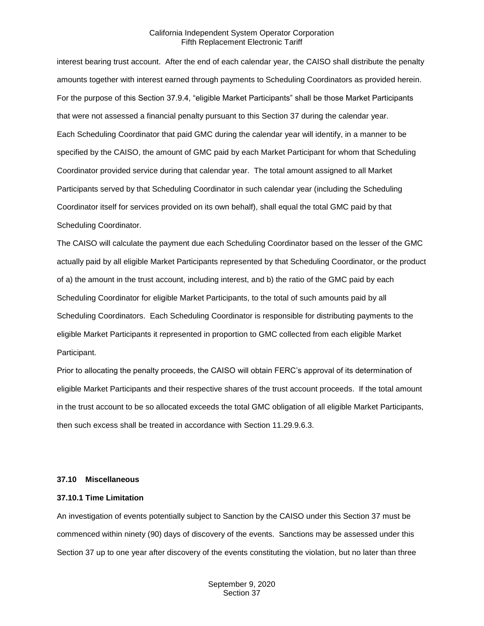interest bearing trust account. After the end of each calendar year, the CAISO shall distribute the penalty amounts together with interest earned through payments to Scheduling Coordinators as provided herein. For the purpose of this Section 37.9.4, "eligible Market Participants" shall be those Market Participants that were not assessed a financial penalty pursuant to this Section 37 during the calendar year. Each Scheduling Coordinator that paid GMC during the calendar year will identify, in a manner to be specified by the CAISO, the amount of GMC paid by each Market Participant for whom that Scheduling Coordinator provided service during that calendar year. The total amount assigned to all Market Participants served by that Scheduling Coordinator in such calendar year (including the Scheduling Coordinator itself for services provided on its own behalf), shall equal the total GMC paid by that Scheduling Coordinator.

The CAISO will calculate the payment due each Scheduling Coordinator based on the lesser of the GMC actually paid by all eligible Market Participants represented by that Scheduling Coordinator, or the product of a) the amount in the trust account, including interest, and b) the ratio of the GMC paid by each Scheduling Coordinator for eligible Market Participants, to the total of such amounts paid by all Scheduling Coordinators. Each Scheduling Coordinator is responsible for distributing payments to the eligible Market Participants it represented in proportion to GMC collected from each eligible Market Participant.

Prior to allocating the penalty proceeds, the CAISO will obtain FERC's approval of its determination of eligible Market Participants and their respective shares of the trust account proceeds. If the total amount in the trust account to be so allocated exceeds the total GMC obligation of all eligible Market Participants, then such excess shall be treated in accordance with Section 11.29.9.6.3.

#### <span id="page-12-0"></span>**37.10 Miscellaneous**

#### <span id="page-12-1"></span>**37.10.1 Time Limitation**

An investigation of events potentially subject to Sanction by the CAISO under this Section 37 must be commenced within ninety (90) days of discovery of the events. Sanctions may be assessed under this Section 37 up to one year after discovery of the events constituting the violation, but no later than three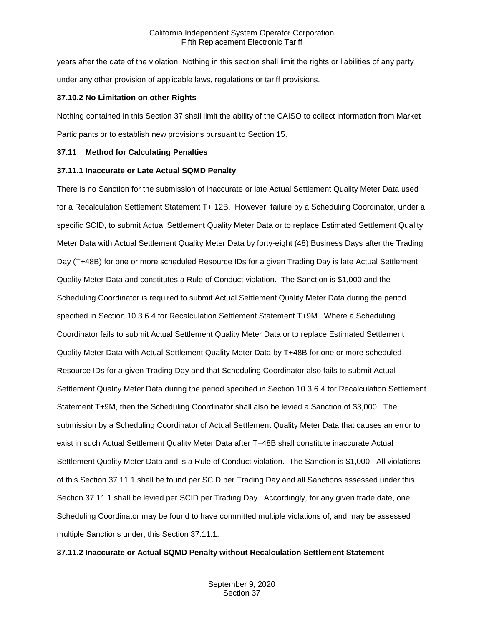years after the date of the violation. Nothing in this section shall limit the rights or liabilities of any party under any other provision of applicable laws, regulations or tariff provisions.

#### <span id="page-13-0"></span>**37.10.2 No Limitation on other Rights**

Nothing contained in this Section 37 shall limit the ability of the CAISO to collect information from Market Participants or to establish new provisions pursuant to Section 15.

#### <span id="page-13-1"></span>**37.11 Method for Calculating Penalties**

#### <span id="page-13-2"></span>**37.11.1 Inaccurate or Late Actual SQMD Penalty**

There is no Sanction for the submission of inaccurate or late Actual Settlement Quality Meter Data used for a Recalculation Settlement Statement T+ 12B. However, failure by a Scheduling Coordinator, under a specific SCID, to submit Actual Settlement Quality Meter Data or to replace Estimated Settlement Quality Meter Data with Actual Settlement Quality Meter Data by forty-eight (48) Business Days after the Trading Day (T+48B) for one or more scheduled Resource IDs for a given Trading Day is late Actual Settlement Quality Meter Data and constitutes a Rule of Conduct violation. The Sanction is \$1,000 and the Scheduling Coordinator is required to submit Actual Settlement Quality Meter Data during the period specified in Section 10.3.6.4 for Recalculation Settlement Statement T+9M. Where a Scheduling Coordinator fails to submit Actual Settlement Quality Meter Data or to replace Estimated Settlement Quality Meter Data with Actual Settlement Quality Meter Data by T+48B for one or more scheduled Resource IDs for a given Trading Day and that Scheduling Coordinator also fails to submit Actual Settlement Quality Meter Data during the period specified in Section 10.3.6.4 for Recalculation Settlement Statement T+9M, then the Scheduling Coordinator shall also be levied a Sanction of \$3,000. The submission by a Scheduling Coordinator of Actual Settlement Quality Meter Data that causes an error to exist in such Actual Settlement Quality Meter Data after T+48B shall constitute inaccurate Actual Settlement Quality Meter Data and is a Rule of Conduct violation. The Sanction is \$1,000. All violations of this Section 37.11.1 shall be found per SCID per Trading Day and all Sanctions assessed under this Section 37.11.1 shall be levied per SCID per Trading Day. Accordingly, for any given trade date, one Scheduling Coordinator may be found to have committed multiple violations of, and may be assessed multiple Sanctions under, this Section 37.11.1.

#### <span id="page-13-3"></span>**37.11.2 Inaccurate or Actual SQMD Penalty without Recalculation Settlement Statement**